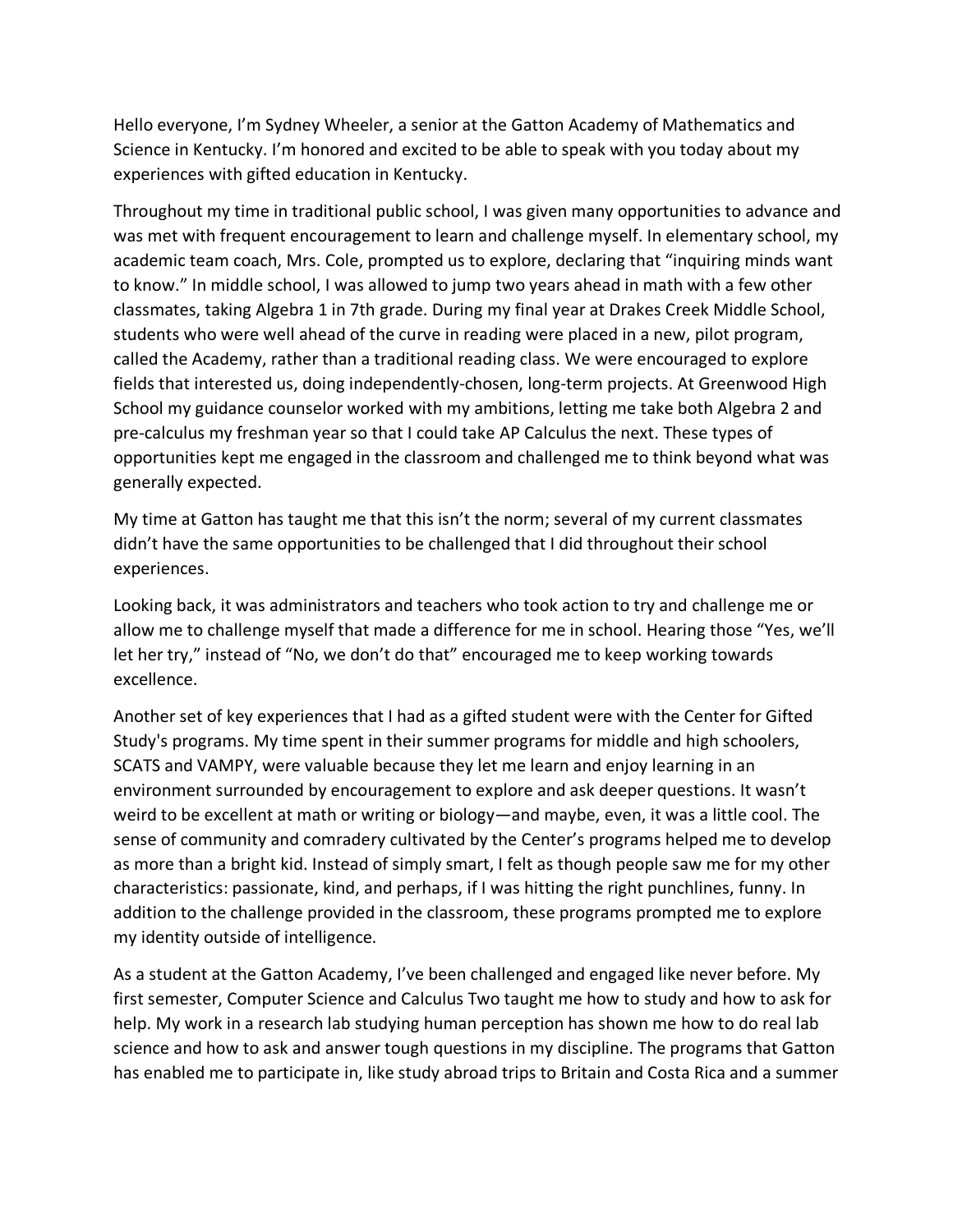Hello everyone, I'm Sydney Wheeler, a senior at the Gatton Academy of Mathematics and Science in Kentucky. I'm honored and excited to be able to speak with you today about my experiences with gifted education in Kentucky.

Throughout my time in traditional public school, I was given many opportunities to advance and was met with frequent encouragement to learn and challenge myself. In elementary school, my academic team coach, Mrs. Cole, prompted us to explore, declaring that "inquiring minds want to know." In middle school, I was allowed to jump two years ahead in math with a few other classmates, taking Algebra 1 in 7th grade. During my final year at Drakes Creek Middle School, students who were well ahead of the curve in reading were placed in a new, pilot program, called the Academy, rather than a traditional reading class. We were encouraged to explore fields that interested us, doing independently-chosen, long-term projects. At Greenwood High School my guidance counselor worked with my ambitions, letting me take both Algebra 2 and pre-calculus my freshman year so that I could take AP Calculus the next. These types of opportunities kept me engaged in the classroom and challenged me to think beyond what was generally expected.

My time at Gatton has taught me that this isn't the norm; several of my current classmates didn't have the same opportunities to be challenged that I did throughout their school experiences.

Looking back, it was administrators and teachers who took action to try and challenge me or allow me to challenge myself that made a difference for me in school. Hearing those "Yes, we'll let her try," instead of "No, we don't do that" encouraged me to keep working towards excellence.

Another set of key experiences that I had as a gifted student were with the Center for Gifted Study's programs. My time spent in their summer programs for middle and high schoolers, SCATS and VAMPY, were valuable because they let me learn and enjoy learning in an environment surrounded by encouragement to explore and ask deeper questions. It wasn't weird to be excellent at math or writing or biology—and maybe, even, it was a little cool. The sense of community and comradery cultivated by the Center's programs helped me to develop as more than a bright kid. Instead of simply smart, I felt as though people saw me for my other characteristics: passionate, kind, and perhaps, if I was hitting the right punchlines, funny. In addition to the challenge provided in the classroom, these programs prompted me to explore my identity outside of intelligence.

As a student at the Gatton Academy, I've been challenged and engaged like never before. My first semester, Computer Science and Calculus Two taught me how to study and how to ask for help. My work in a research lab studying human perception has shown me how to do real lab science and how to ask and answer tough questions in my discipline. The programs that Gatton has enabled me to participate in, like study abroad trips to Britain and Costa Rica and a summer